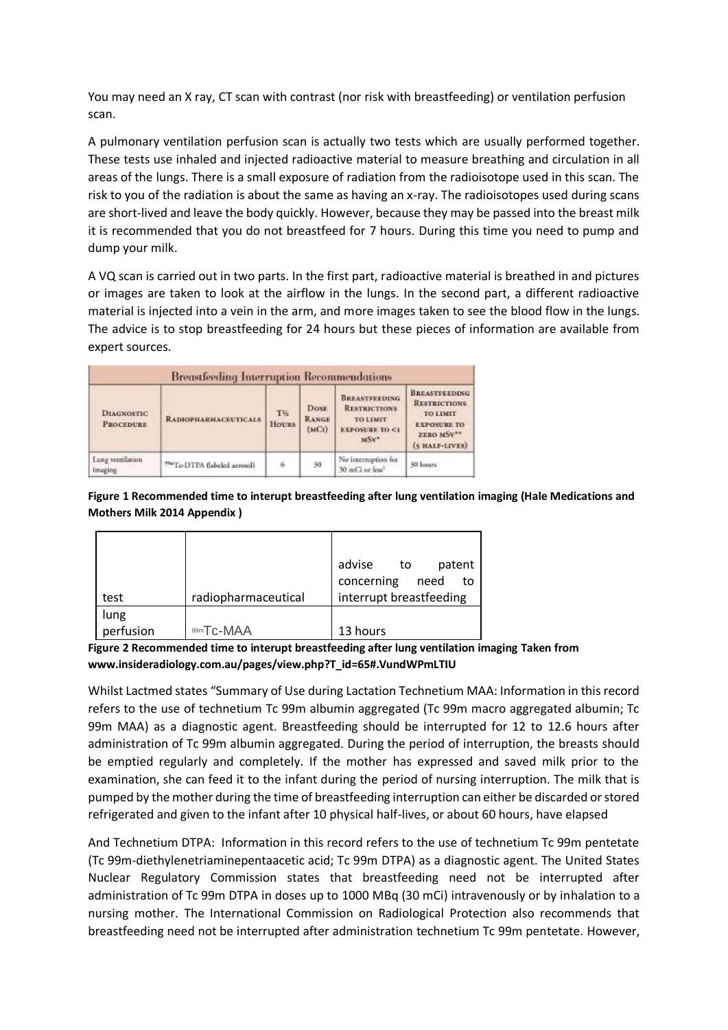You may need an X ray, CT scan with contrast (nor risk with breastfeeding) or ventilation perfusion scan.

A pulmonary ventilation perfusion scan is actually two tests which are usually performed together. These tests use inhaled and injected radioactive material to measure breathing and circulation in all areas of the lungs. There is a small exposure of radiation from the radioisotope used in this scan. The risk to you of the radiation is about the same as having an x-ray. The radioisotopes used during scans are short-lived and leave the body quickly. However, because they may be passed into the breast milk it is recommended that you do not breastfeed for 7 hours. During this time you need to pump and dump your milk.

A VQ scan is carried out in two parts. In the first part, radioactive material is breathed in and pictures or images are taken to look at the airflow in the lungs. In the second part, a different radioactive material is injected into a vein in the arm, and more images taken to see the blood flow in the lungs. The advice is to stop breastfeeding for 24 hours but these pieces of information are available from expert sources.

| <b>Breastfeeding Interruption Recommendations</b> |                                           |                                 |                               |                                                                                                       |                                                                                                                        |
|---------------------------------------------------|-------------------------------------------|---------------------------------|-------------------------------|-------------------------------------------------------------------------------------------------------|------------------------------------------------------------------------------------------------------------------------|
| <b>DIAGNOSTIC</b><br><b>PROCEDURE</b>             | RADIOPHARMACIUTICALS                      | T <sub>12</sub><br><b>HOURS</b> | <b>DOSE</b><br>RANGE<br>(MCI) | <b>BREASTFIEDING</b><br><b>RESTRICTIONS</b><br><b>TO LIMIT</b><br><b>EXPOSURE TO &lt;1</b><br>$MSV^*$ | <b>BREASTFEIDING</b><br><b>RESTRICTIONS</b><br><b>TO LIMIT</b><br><b>EXPOSURE TO</b><br>ZERO MŚV**<br>$(5 HALF-LIVES)$ |
| Lung ventilation.<br>imaging                      | <sup>994/</sup> Te-DTPA (labeled aerosol) | 6                               | $-30$                         | No interruption for<br>30 mG or less <sup>1</sup>                                                     | 50 hours                                                                                                               |
|                                                   |                                           |                                 |                               |                                                                                                       |                                                                                                                        |

**Figure 1 Recommended time to interupt breastfeeding after lung ventilation imaging (Hale Medications and Mothers Milk 2014 Appendix )**

|           |                     | advise<br>patent<br>to<br>to<br>concerning<br>need |
|-----------|---------------------|----------------------------------------------------|
| test      | radiopharmaceutical | interrupt breastfeeding                            |
| lung      |                     |                                                    |
| perfusion | 99mTc-MAA           | 13 hours                                           |

**Figure 2 Recommended time to interupt breastfeeding after lung ventilation imaging Taken from www.insideradiology.com.au/pages/view.php?T\_id=65#.VundWPmLTIU**

Whilst Lactmed states "Summary of Use during Lactation Technetium MAA: Information in this record refers to the use of technetium Tc 99m albumin aggregated (Tc 99m macro aggregated albumin; Tc 99m MAA) as a diagnostic agent. Breastfeeding should be interrupted for 12 to 12.6 hours after administration of Tc 99m albumin aggregated. During the period of interruption, the breasts should be emptied regularly and completely. If the mother has expressed and saved milk prior to the examination, she can feed it to the infant during the period of nursing interruption. The milk that is pumped by the mother during the time of breastfeeding interruption can either be discarded or stored refrigerated and given to the infant after 10 physical half-lives, or about 60 hours, have elapsed

And Technetium DTPA: Information in this record refers to the use of technetium Tc 99m pentetate (Tc 99m-diethylenetriaminepentaacetic acid; Tc 99m DTPA) as a diagnostic agent. The United States Nuclear Regulatory Commission states that breastfeeding need not be interrupted after administration of Tc 99m DTPA in doses up to 1000 MBq (30 mCi) intravenously or by inhalation to a nursing mother. The International Commission on Radiological Protection also recommends that breastfeeding need not be interrupted after administration technetium Tc 99m pentetate. However,